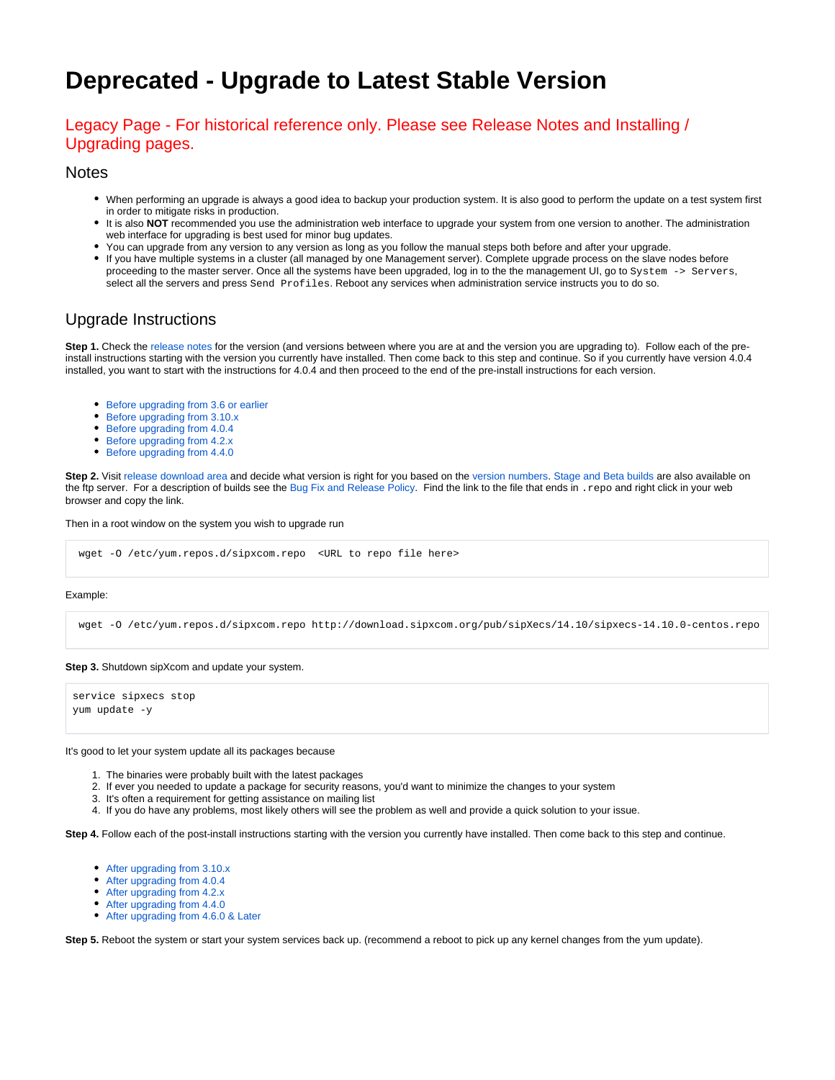# **Deprecated - Upgrade to Latest Stable Version**

### Legacy Page - For historical reference only. Please see Release Notes and Installing / Upgrading pages.

### **Notes**

- When performing an upgrade is always a good idea to backup your production system. It is also good to perform the update on a test system first in order to mitigate risks in production.
- It is also NOT recommended you use the administration web interface to upgrade your system from one version to another. The administration web interface for upgrading is best used for minor bug updates.
- You can upgrade from any version to any version as long as you follow the manual steps both before and after your upgrade.
- If you have multiple systems in a cluster (all managed by one Management server). Complete upgrade process on the slave nodes before proceeding to the master server. Once all the systems have been upgraded, log in to the the management UI, go to System -> Servers, select all the servers and press Send Profiles. Reboot any services when administration service instructs you to do so.

# Upgrade Instructions

**Step 1.** Check the [release notes](https://wiki.ezuce.com/display/sipXcom/Release+Notes) for the version (and versions between where you are at and the version you are upgrading to). Follow each of the preinstall instructions starting with the version you currently have installed. Then come back to this step and continue. So if you currently have version 4.0.4 installed, you want to start with the instructions for 4.0.4 and then proceed to the end of the pre-install instructions for each version.

- [Before upgrading from 3.6 or earlier](#page-1-0)
- [Before upgrading from 3.10.x](#page-1-1)
- [Before upgrading from 4.0.4](#page-1-2)
- [Before upgrading from 4.2.x](#page-1-3)
- [Before upgrading from 4.4.0](#page-1-4)

Step 2. Visit [release download area](http://download.sipxcom.org) and decide what version is right for you based on the [version numbers](https://wiki.ezuce.com/display/sipXcom/Version+Numbers). [Stage and Beta builds](http://download.sipxcom.org/pub) are also available on the ftp server. For a description of builds see the [Bug Fix and Release Policy](https://wiki.ezuce.com/display/sipXcom/Bug+Fix+and+Release+Policy). Find the link to the file that ends in .repo and right click in your web browser and copy the link.

Then in a root window on the system you wish to upgrade run

```
 wget -O /etc/yum.repos.d/sipxcom.repo <URL to repo file here>
```
### Example:

wget -O /etc/yum.repos.d/sipxcom.repo http://download.sipxcom.org/pub/sipXecs/14.10/sipxecs-14.10.0-centos.repo

### **Step 3.** Shutdown sipXcom and update your system.

service sipxecs stop yum update -y

#### It's good to let your system update all its packages because

- 1. The binaries were probably built with the latest packages
- 2. If ever you needed to update a package for security reasons, you'd want to minimize the changes to your system
- 3. It's often a requirement for getting assistance on mailing list
- 4. If you do have any problems, most likely others will see the problem as well and provide a quick solution to your issue.

**Step 4.** Follow each of the post-install instructions starting with the version you currently have installed. Then come back to this step and continue.

- [After upgrading from 3.10.x](#page-2-0)
- [After upgrading from 4.0.4](#page-2-1)
- [After upgrading from 4.2.x](#page-2-2)
- [After upgrading from 4.4.0](#page-2-3)
- [After upgrading from 4.6.0 & Later](#page-2-4)

**Step 5.** Reboot the system or start your system services back up. (recommend a reboot to pick up any kernel changes from the yum update).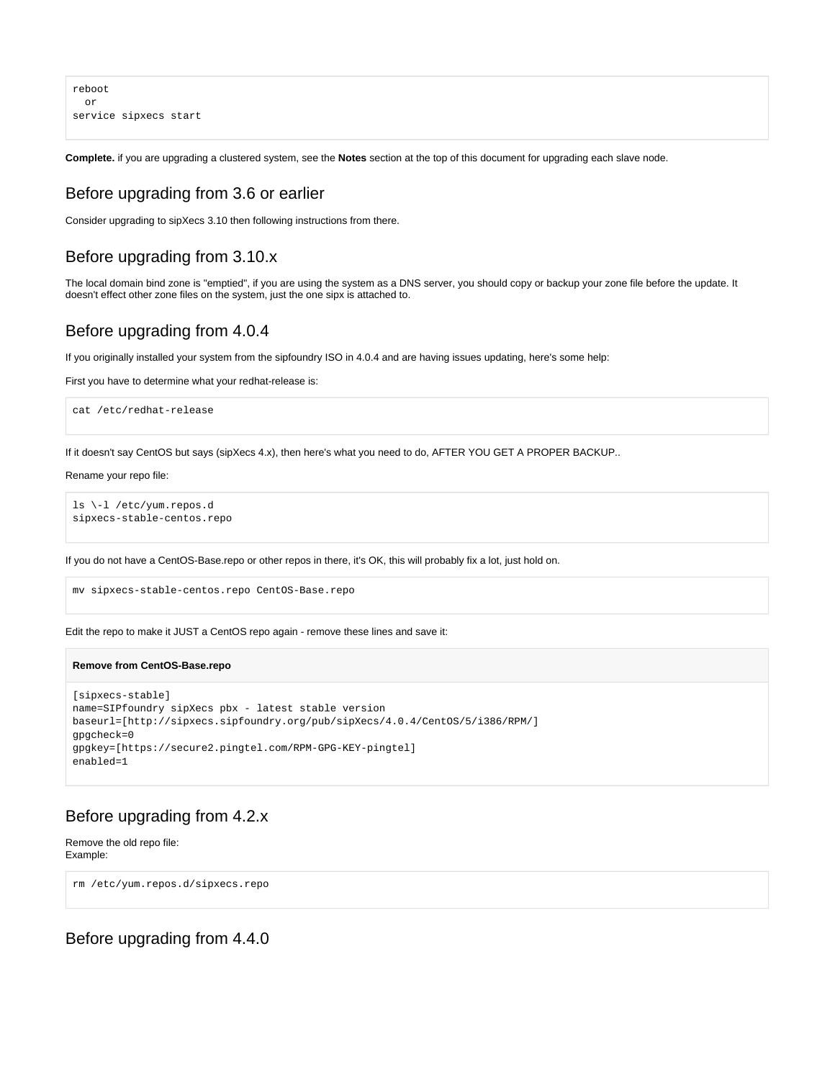reboot or service sipxecs start

**Complete.** if you are upgrading a clustered system, see the **Notes** section at the top of this document for upgrading each slave node.

### <span id="page-1-0"></span>Before upgrading from 3.6 or earlier

Consider upgrading to sipXecs 3.10 then following instructions from there.

# <span id="page-1-1"></span>Before upgrading from 3.10.x

The local domain bind zone is "emptied", if you are using the system as a DNS server, you should copy or backup your zone file before the update. It doesn't effect other zone files on the system, just the one sipx is attached to.

### <span id="page-1-2"></span>Before upgrading from 4.0.4

If you originally installed your system from the sipfoundry ISO in 4.0.4 and are having issues updating, here's some help:

First you have to determine what your redhat-release is:

cat /etc/redhat-release

If it doesn't say CentOS but says (sipXecs 4.x), then here's what you need to do, AFTER YOU GET A PROPER BACKUP..

### Rename your repo file:

ls \-l /etc/yum.repos.d sipxecs-stable-centos.repo

If you do not have a CentOS-Base.repo or other repos in there, it's OK, this will probably fix a lot, just hold on.

mv sipxecs-stable-centos.repo CentOS-Base.repo

Edit the repo to make it JUST a CentOS repo again - remove these lines and save it:

### **Remove from CentOS-Base.repo**

```
[sipxecs-stable]
name=SIPfoundry sipXecs pbx - latest stable version
baseurl=[http://sipxecs.sipfoundry.org/pub/sipXecs/4.0.4/CentOS/5/i386/RPM/]
gpgcheck=0
gpgkey=[https://secure2.pingtel.com/RPM-GPG-KEY-pingtel]
enabled=1
```
### <span id="page-1-3"></span>Before upgrading from 4.2.x

Remove the old repo file: Example:

rm /etc/yum.repos.d/sipxecs.repo

### <span id="page-1-4"></span>Before upgrading from 4.4.0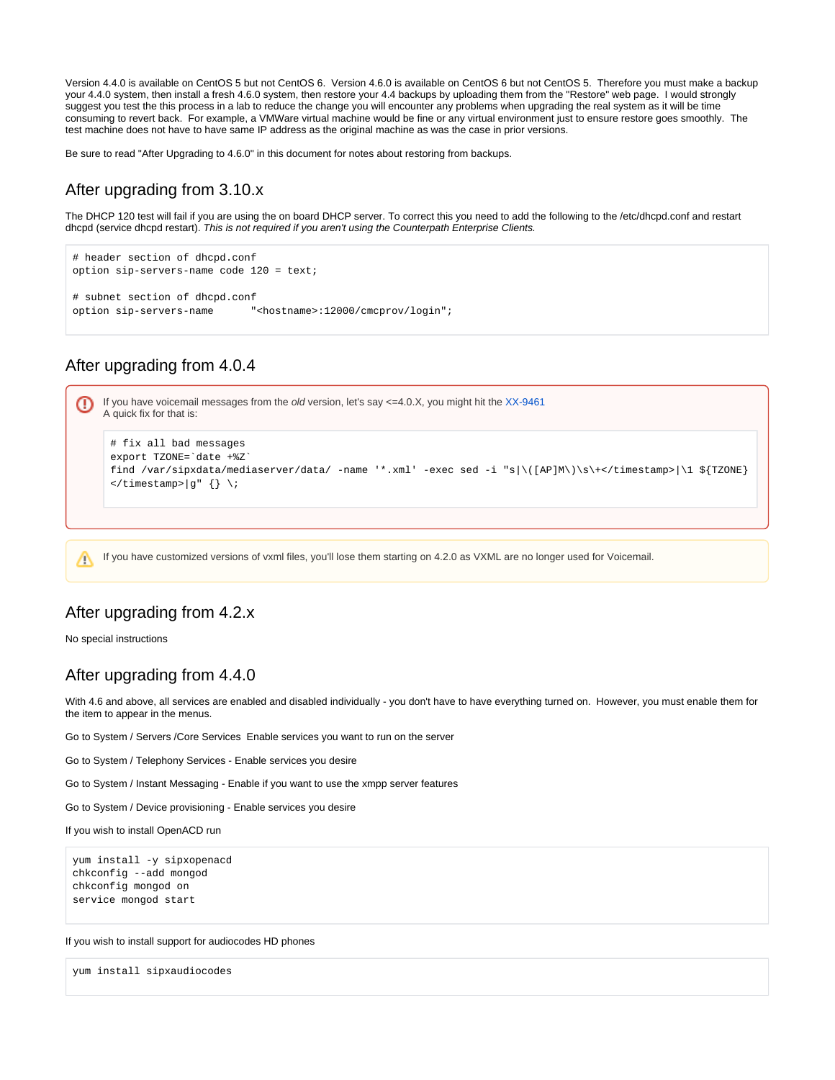Version 4.4.0 is available on CentOS 5 but not CentOS 6. Version 4.6.0 is available on CentOS 6 but not CentOS 5. Therefore you must make a backup your 4.4.0 system, then install a fresh 4.6.0 system, then restore your 4.4 backups by uploading them from the "Restore" web page. I would strongly suggest you test the this process in a lab to reduce the change you will encounter any problems when upgrading the real system as it will be time consuming to revert back. For example, a VMWare virtual machine would be fine or any virtual environment just to ensure restore goes smoothly. The test machine does not have to have same IP address as the original machine as was the case in prior versions.

Be sure to read "After Upgrading to 4.6.0" in this document for notes about restoring from backups.

# <span id="page-2-0"></span>After upgrading from 3.10.x

The DHCP 120 test will fail if you are using the on board DHCP server. To correct this you need to add the following to the /etc/dhcpd.conf and restart dhcpd (service dhcpd restart). This is not required if you aren't using the Counterpath Enterprise Clients.

```
# header section of dhcpd.conf
option sip-servers-name code 120 = text;
# subnet section of dhcpd.conf
option sip-servers-name "<hostname>:12000/cmcprov/login";
```
# After upgrading from 4.0.4

<span id="page-2-1"></span>

If you have customized versions of vxml files, you'll lose them starting on 4.2.0 as VXML are no longer used for Voicemail.Λ

### <span id="page-2-2"></span>After upgrading from 4.2.x

No special instructions

# <span id="page-2-3"></span>After upgrading from 4.4.0

With 4.6 and above, all services are enabled and disabled individually - you don't have to have everything turned on. However, you must enable them for the item to appear in the menus.

Go to System / Servers /Core Services Enable services you want to run on the server

Go to System / Telephony Services - Enable services you desire

Go to System / Instant Messaging - Enable if you want to use the xmpp server features

Go to System / Device provisioning - Enable services you desire

If you wish to install OpenACD run

```
yum install -y sipxopenacd
chkconfig --add mongod
chkconfig mongod on
service mongod start
```
If you wish to install support for audiocodes HD phones

<span id="page-2-4"></span>yum install sipxaudiocodes